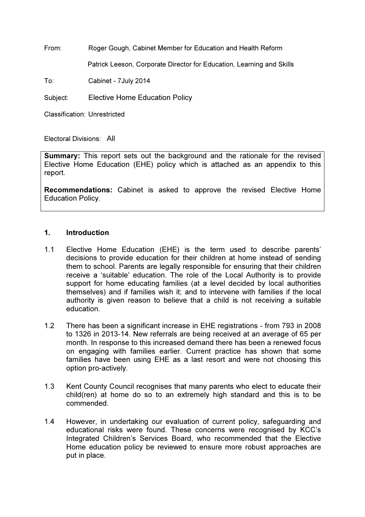From: Roger Gough, Cabinet Member for Education and Health Reform

Patrick Leeson, Corporate Director for Education, Learning and Skills

To: Cabinet - 7July 2014

Subject: Elective Home Education Policy

Classification: Unrestricted

Electoral Divisions: All

**Summary:** This report sets out the background and the rationale for the revised Elective Home Education (EHE) policy which is attached as an appendix to this report.

Recommendations: Cabinet is asked to approve the revised Elective Home Education Policy.

#### 1. Introduction

- 1.1 Elective Home Education (EHE) is the term used to describe parents' decisions to provide education for their children at home instead of sending them to school. Parents are legally responsible for ensuring that their children receive a 'suitable' education. The role of the Local Authority is to provide support for home educating families (at a level decided by local authorities themselves) and if families wish it; and to intervene with families if the local authority is given reason to believe that a child is not receiving a suitable education.
- 1.2 There has been a significant increase in EHE registrations from 793 in 2008 to 1326 in 2013-14. New referrals are being received at an average of 65 per month. In response to this increased demand there has been a renewed focus on engaging with families earlier. Current practice has shown that some families have been using EHE as a last resort and were not choosing this option pro-actively.
- 1.3 Kent County Council recognises that many parents who elect to educate their child(ren) at home do so to an extremely high standard and this is to be commended.
- 1.4 However, in undertaking our evaluation of current policy, safeguarding and educational risks were found. These concerns were recognised by KCC's Integrated Children's Services Board, who recommended that the Elective Home education policy be reviewed to ensure more robust approaches are put in place.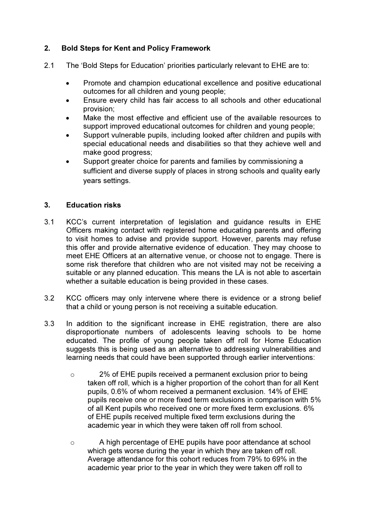# 2. Bold Steps for Kent and Policy Framework

- 2.1 The 'Bold Steps for Education' priorities particularly relevant to EHE are to:
	- Promote and champion educational excellence and positive educational outcomes for all children and young people;
	- Ensure every child has fair access to all schools and other educational provision;
	- Make the most effective and efficient use of the available resources to support improved educational outcomes for children and young people;
	- Support vulnerable pupils, including looked after children and pupils with special educational needs and disabilities so that they achieve well and make good progress;
	- Support greater choice for parents and families by commissioning a sufficient and diverse supply of places in strong schools and quality early years settings.

## 3. Education risks

- 3.1 KCC's current interpretation of legislation and guidance results in EHE Officers making contact with registered home educating parents and offering to visit homes to advise and provide support. However, parents may refuse this offer and provide alternative evidence of education. They may choose to meet EHE Officers at an alternative venue, or choose not to engage. There is some risk therefore that children who are not visited may not be receiving a suitable or any planned education. This means the LA is not able to ascertain whether a suitable education is being provided in these cases.
- 3.2 KCC officers may only intervene where there is evidence or a strong belief that a child or young person is not receiving a suitable education.
- 3.3 In addition to the significant increase in EHE registration, there are also disproportionate numbers of adolescents leaving schools to be home educated. The profile of young people taken off roll for Home Education suggests this is being used as an alternative to addressing vulnerabilities and learning needs that could have been supported through earlier interventions:
	- o 2% of EHE pupils received a permanent exclusion prior to being taken off roll, which is a higher proportion of the cohort than for all Kent pupils, 0.6% of whom received a permanent exclusion. 14% of EHE pupils receive one or more fixed term exclusions in comparison with 5% of all Kent pupils who received one or more fixed term exclusions. 6% of EHE pupils received multiple fixed term exclusions during the academic year in which they were taken off roll from school.
	- $\circ$  A high percentage of EHE pupils have poor attendance at school which gets worse during the year in which they are taken off roll. Average attendance for this cohort reduces from 79% to 69% in the academic year prior to the year in which they were taken off roll to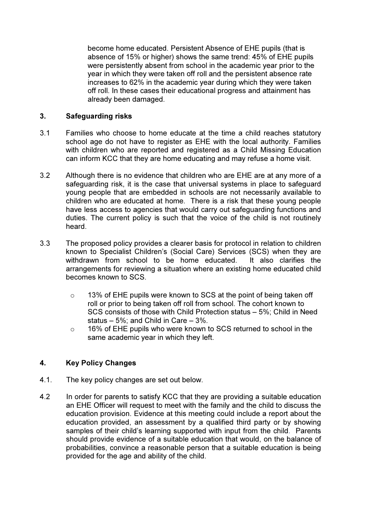become home educated. Persistent Absence of EHE pupils (that is absence of 15% or higher) shows the same trend: 45% of EHE pupils were persistently absent from school in the academic year prior to the year in which they were taken off roll and the persistent absence rate increases to 62% in the academic year during which they were taken off roll. In these cases their educational progress and attainment has already been damaged.

### 3. Safeguarding risks

- 3.1 Families who choose to home educate at the time a child reaches statutory school age do not have to register as EHE with the local authority. Families with children who are reported and registered as a Child Missing Education can inform KCC that they are home educating and may refuse a home visit.
- 3.2 Although there is no evidence that children who are EHE are at any more of a safeguarding risk, it is the case that universal systems in place to safeguard young people that are embedded in schools are not necessarily available to children who are educated at home. There is a risk that these young people have less access to agencies that would carry out safeguarding functions and duties. The current policy is such that the voice of the child is not routinely heard.
- 3.3 The proposed policy provides a clearer basis for protocol in relation to children known to Specialist Children's (Social Care) Services (SCS) when they are withdrawn from school to be home educated. It also clarifies the arrangements for reviewing a situation where an existing home educated child becomes known to SCS.
	- o 13% of EHE pupils were known to SCS at the point of being taken off roll or prior to being taken off roll from school. The cohort known to SCS consists of those with Child Protection status – 5%; Child in Need status – 5%; and Child in Care – 3%.
	- o 16% of EHE pupils who were known to SCS returned to school in the same academic year in which they left.

## 4. Key Policy Changes

- 4.1. The key policy changes are set out below.
- 4.2 In order for parents to satisfy KCC that they are providing a suitable education an EHE Officer will request to meet with the family and the child to discuss the education provision. Evidence at this meeting could include a report about the education provided, an assessment by a qualified third party or by showing samples of their child's learning supported with input from the child. Parents should provide evidence of a suitable education that would, on the balance of probabilities, convince a reasonable person that a suitable education is being provided for the age and ability of the child.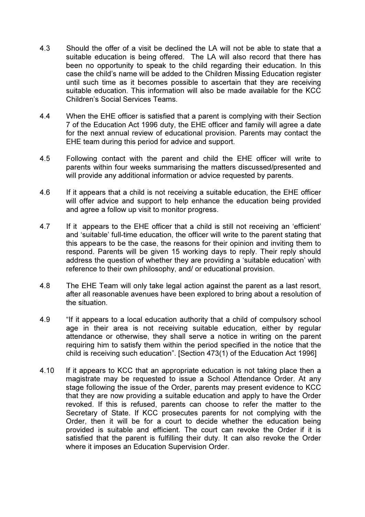- 4.3 Should the offer of a visit be declined the LA will not be able to state that a suitable education is being offered. The LA will also record that there has been no opportunity to speak to the child regarding their education. In this case the child's name will be added to the Children Missing Education register until such time as it becomes possible to ascertain that they are receiving suitable education. This information will also be made available for the KCC Children's Social Services Teams.
- 4.4 When the EHE officer is satisfied that a parent is complying with their Section 7 of the Education Act 1996 duty, the EHE officer and family will agree a date for the next annual review of educational provision. Parents may contact the EHE team during this period for advice and support.
- 4.5 Following contact with the parent and child the EHE officer will write to parents within four weeks summarising the matters discussed/presented and will provide any additional information or advice requested by parents.
- 4.6 If it appears that a child is not receiving a suitable education, the EHE officer will offer advice and support to help enhance the education being provided and agree a follow up visit to monitor progress.
- 4.7 If it appears to the EHE officer that a child is still not receiving an 'efficient' and 'suitable' full-time education, the officer will write to the parent stating that this appears to be the case, the reasons for their opinion and inviting them to respond. Parents will be given 15 working days to reply. Their reply should address the question of whether they are providing a 'suitable education' with reference to their own philosophy, and/ or educational provision.
- 4.8 The EHE Team will only take legal action against the parent as a last resort, after all reasonable avenues have been explored to bring about a resolution of the situation.
- 4.9 "If it appears to a local education authority that a child of compulsory school age in their area is not receiving suitable education, either by regular attendance or otherwise, they shall serve a notice in writing on the parent requiring him to satisfy them within the period specified in the notice that the child is receiving such education". [Section 473(1) of the Education Act 1996]
- 4.10 If it appears to KCC that an appropriate education is not taking place then a magistrate may be requested to issue a School Attendance Order. At any stage following the issue of the Order, parents may present evidence to KCC that they are now providing a suitable education and apply to have the Order revoked. If this is refused, parents can choose to refer the matter to the Secretary of State. If KCC prosecutes parents for not complying with the Order, then it will be for a court to decide whether the education being provided is suitable and efficient. The court can revoke the Order if it is satisfied that the parent is fulfilling their duty. It can also revoke the Order where it imposes an Education Supervision Order.